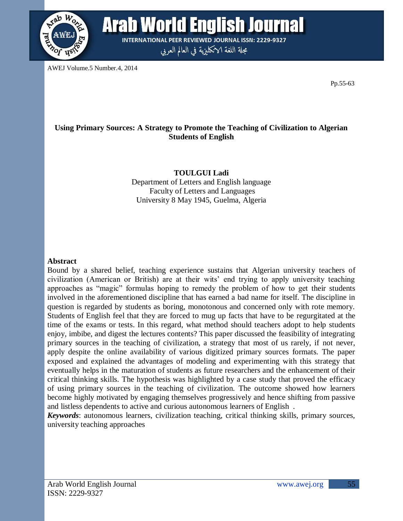

**Arab World English Journal INTERNATIONAL PEER REVIEWED JOURNAL ISSN: 2229-9327** 

مجلة اللغة الانكليزية في العالم العربي

AWEJ Volume.5 Number.4, 2014

Pp.55-63

# **Using Primary Sources: A Strategy to Promote the Teaching of Civilization to Algerian Students of English**

**TOULGUI Ladi**  Department of Letters and English language Faculty of Letters and Languages University 8 May 1945, Guelma, Algeria

## **Abstract**

Bound by a shared belief, teaching experience sustains that Algerian university teachers of civilization (American or British) are at their wits' end trying to apply university teaching approaches as "magic" formulas hoping to remedy the problem of how to get their students involved in the aforementioned discipline that has earned a bad name for itself. The discipline in question is regarded by students as boring, monotonous and concerned only with rote memory. Students of English feel that they are forced to mug up facts that have to be regurgitated at the time of the exams or tests. In this regard, what method should teachers adopt to help students enjoy, imbibe, and digest the lectures contents? This paper discussed the feasibility of integrating primary sources in the teaching of civilization, a strategy that most of us rarely, if not never, apply despite the online availability of various digitized primary sources formats. The paper exposed and explained the advantages of modeling and experimenting with this strategy that eventually helps in the maturation of students as future researchers and the enhancement of their critical thinking skills. The hypothesis was highlighted by a case study that proved the efficacy of using primary sources in the teaching of civilization. The outcome showed how learners become highly motivated by engaging themselves progressively and hence shifting from passive and listless dependents to active and curious autonomous learners of English .

*Keywords*: autonomous learners, civilization teaching, critical thinking skills, primary sources, university teaching approaches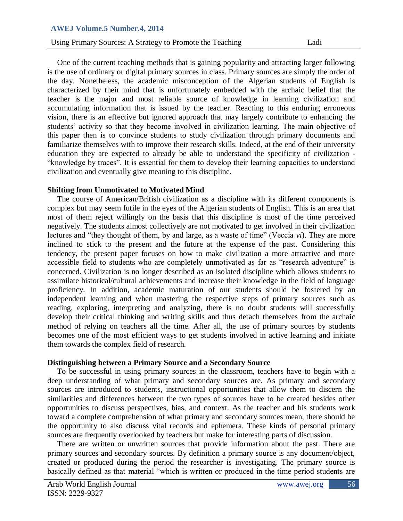Using Primary Sources: A Strategy to Promote the Teaching Ladi

One of the current teaching methods that is gaining popularity and attracting larger following is the use of ordinary or digital primary sources in class. Primary sources are simply the order of the day. Nonetheless, the academic misconception of the Algerian students of English is characterized by their mind that is unfortunately embedded with the archaic belief that the teacher is the major and most reliable source of knowledge in learning civilization and accumulating information that is issued by the teacher. Reacting to this enduring erroneous vision, there is an effective but ignored approach that may largely contribute to enhancing the students' activity so that they become involved in civilization learning. The main objective of this paper then is to convince students to study civilization through primary documents and familiarize themselves with to improve their research skills. Indeed, at the end of their university education they are expected to already be able to understand the specificity of civilization - "knowledge by traces". It is essential for them to develop their learning capacities to understand civilization and eventually give meaning to this discipline.

## **Shifting from Unmotivated to Motivated Mind**

 The course of American/British civilization as a discipline with its different components is complex but may seem futile in the eyes of the Algerian students of English. This is an area that most of them reject willingly on the basis that this discipline is most of the time perceived negatively. The students almost collectively are not motivated to get involved in their civilization lectures and "they thought of them, by and large, as a waste of time" (Veccia *vi*). They are more inclined to stick to the present and the future at the expense of the past. Considering this tendency, the present paper focuses on how to make civilization a more attractive and more accessible field to students who are completely unmotivated as far as "research adventure" is concerned. Civilization is no longer described as an isolated discipline which allows students to assimilate historical/cultural achievements and increase their knowledge in the field of language proficiency. In addition, academic maturation of our students should be fostered by an independent learning and when mastering the respective steps of primary sources such as reading, exploring, interpreting and analyzing, there is no doubt students will successfully develop their critical thinking and writing skills and thus detach themselves from the archaic method of relying on teachers all the time. After all, the use of primary sources by students becomes one of the most efficient ways to get students involved in active learning and initiate them towards the complex field of research.

### **Distinguishing between a Primary Source and a Secondary Source**

 To be successful in using primary sources in the classroom, teachers have to begin with a deep understanding of what primary and secondary sources are. As primary and secondary sources are introduced to students, instructional opportunities that allow them to discern the similarities and differences between the two types of sources have to be created besides other opportunities to discuss perspectives, bias, and context. As the teacher and his students work toward a complete comprehension of what primary and secondary sources mean, there should be the opportunity to also discuss vital records and ephemera. These kinds of personal primary sources are frequently overlooked by teachers but make for interesting parts of discussion.

 There are written or unwritten sources that provide information about the past. There are primary sources and secondary sources. By definition a primary source is any document/object, created or produced during the period the researcher is investigating. The primary source is basically defined as that material "which is written or produced in the time period students are

56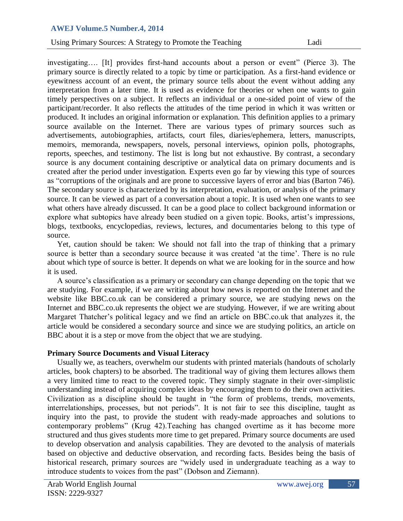Using Primary Sources: A Strategy to Promote the Teaching Ladi

investigating…. [It] provides first-hand accounts about a person or event" (Pierce 3). The primary source is directly related to a topic by time or participation. As a first-hand evidence or eyewitness account of an event, the primary source tells about the event without adding any interpretation from a later time. It is used as evidence for theories or when one wants to gain timely perspectives on a subject. It reflects an individual or a one-sided point of view of the participant/recorder. It also reflects the attitudes of the time period in which it was written or produced. It includes an original information or explanation. This definition applies to a primary source available on the Internet. There are various types of primary sources such as advertisements, autobiographies, artifacts, court files, diaries/ephemera, letters, manuscripts, memoirs, memoranda, newspapers, novels, personal interviews, opinion polls, photographs, reports, speeches, and testimony. The list is long but not exhaustive. By contrast, a secondary source is any document containing descriptive or analytical data on primary documents and is created after the period under investigation. Experts even go far by viewing this type of sources as "corruptions of the originals and are prone to successive layers of error and bias (Barton 746). The secondary source is characterized by its interpretation, evaluation, or analysis of the primary source. It can be viewed as part of a conversation about a topic. It is used when one wants to see what others have already discussed. It can be a good place to collect background information or explore what subtopics have already been studied on a given topic. Books, artist's impressions, blogs, textbooks, encyclopedias, reviews, lectures, and documentaries belong to this type of source.

 Yet, caution should be taken: We should not fall into the trap of thinking that a primary source is better than a secondary source because it was created 'at the time'. There is no rule about which type of source is better. It depends on what we are looking for in the source and how it is used.

 A source's classification as a primary or secondary can change depending on the topic that we are studying. For example, if we are writing about how news is reported on the Internet and the website like BBC.co.uk can be considered a primary source, we are studying news on the Internet and BBC.co.uk represents the object we are studying. However, if we are writing about Margaret Thatcher's political legacy and we find an article on BBC.co.uk that analyzes it, the article would be considered a secondary source and since we are studying politics, an article on BBC about it is a step or move from the object that we are studying.

# **Primary Source Documents and Visual Literacy**

 Usually we, as teachers, overwhelm our students with printed materials (handouts of scholarly articles, book chapters) to be absorbed. The traditional way of giving them lectures allows them a very limited time to react to the covered topic. They simply stagnate in their over-simplistic understanding instead of acquiring complex ideas by encouraging them to do their own activities. Civilization as a discipline should be taught in "the form of problems, trends, movements, interrelationships, processes, but not periods". It is not fair to see this discipline, taught as inquiry into the past, to provide the student with ready-made approaches and solutions to contemporary problems" (Krug 42). Teaching has changed overtime as it has become more structured and thus gives students more time to get prepared. Primary source documents are used to develop observation and analysis capabilities. They are devoted to the analysis of materials based on objective and deductive observation, and recording facts. Besides being the basis of historical research, primary sources are "widely used in undergraduate teaching as a way to introduce students to voices from the past" (Dobson and Ziemann).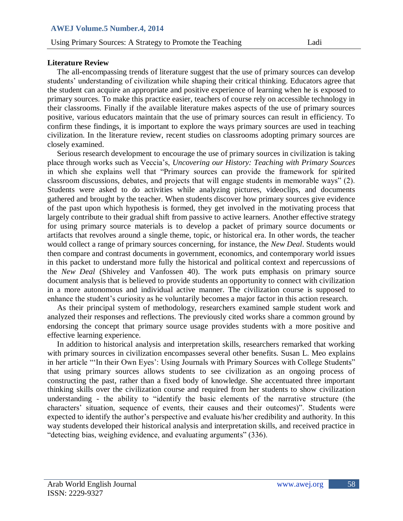# **Literature Review**

 The all-encompassing trends of literature suggest that the use of primary sources can develop students' understanding of civilization while shaping their critical thinking. Educators agree that the student can acquire an appropriate and positive experience of learning when he is exposed to primary sources. To make this practice easier, teachers of course rely on accessible technology in their classrooms. Finally if the available literature makes aspects of the use of primary sources positive, various educators maintain that the use of primary sources can result in efficiency. To confirm these findings, it is important to explore the ways primary sources are used in teaching civilization. In the literature review, recent studies on classrooms adopting primary sources are closely examined.

 Serious research development to encourage the use of primary sources in civilization is taking place through works such as Veccia's, *Uncovering our History: Teaching with Primary Sources* in which she explains well that "Primary sources can provide the framework for spirited classroom discussions, debates, and projects that will engage students in memorable ways" (2). Students were asked to do activities while analyzing pictures, videoclips, and documents gathered and brought by the teacher. When students discover how primary sources give evidence of the past upon which hypothesis is formed, they get involved in the motivating process that largely contribute to their gradual shift from passive to active learners. Another effective strategy for using primary source materials is to develop a packet of primary source documents or artifacts that revolves around a single theme, topic, or historical era. In other words, the teacher would collect a range of primary sources concerning, for instance, the *New Deal*. Students would then compare and contrast documents in government, economics, and contemporary world issues in this packet to understand more fully the historical and political context and repercussions of the *New Deal* (Shiveley and Vanfossen 40). The work puts emphasis on primary source document analysis that is believed to provide students an opportunity to connect with civilization in a more autonomous and individual active manner. The civilization course is supposed to enhance the student's curiosity as he voluntarily becomes a major factor in this action research.

 As their principal system of methodology, researchers examined sample student work and analyzed their responses and reflections. The previously cited works share a common ground by endorsing the concept that primary source usage provides students with a more positive and effective learning experience.

 In addition to historical analysis and interpretation skills, researchers remarked that working with primary sources in civilization encompasses several other benefits. Susan L. Meo explains in her article "'In their Own Eyes': Using Journals with Primary Sources with College Students" that using primary sources allows students to see civilization as an ongoing process of constructing the past, rather than a fixed body of knowledge. She accentuated three important thinking skills over the civilization course and required from her students to show civilization understanding - the ability to "identify the basic elements of the narrative structure (the characters' situation, sequence of events, their causes and their outcomes)". Students were expected to identify the author's perspective and evaluate his/her credibility and authority. In this way students developed their historical analysis and interpretation skills, and received practice in "detecting bias, weighing evidence, and evaluating arguments" (336).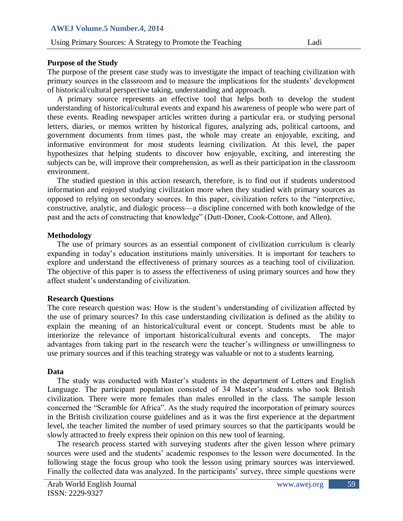# **Purpose of the Study**

The purpose of the present case study was to investigate the impact of teaching civilization with primary sources in the classroom and to measure the implications for the students' development of historical/cultural perspective taking, understanding and approach.

 A primary source represents an effective tool that helps both to develop the student understanding of historical/cultural events and expand his awareness of people who were part of these events. Reading newspaper articles written during a particular era, or studying personal letters, diaries, or memos written by historical figures, analyzing ads, political cartoons, and government documents from times past, the whole may create an enjoyable, exciting, and informative environment for most students learning civilization. At this level, the paper hypothesizes that helping students to discover how enjoyable, exciting, and interesting the subjects can be, will improve their comprehension, as well as their participation in the classroom environment.

 The studied question in this action research, therefore, is to find out if students understood information and enjoyed studying civilization more when they studied with primary sources as opposed to relying on secondary sources. In this paper, civilization refers to the "interpretive, constructive, analytic, and dialogic process—a discipline concerned with both knowledge of the past and the acts of constructing that knowledge" (Dutt-Doner, Cook-Cottone, and Allen).

## **Methodology**

 The use of primary sources as an essential component of civilization curriculum is clearly expanding in today's education institutions mainly universities. It is important for teachers to explore and understand the effectiveness of primary sources as a teaching tool of civilization. The objective of this paper is to assess the effectiveness of using primary sources and how they affect student's understanding of civilization.

# **Research Questions**

The core research question was: How is the student's understanding of civilization affected by the use of primary sources? In this case understanding civilization is defined as the ability to explain the meaning of an historical/cultural event or concept. Students must be able to interiorize the relevance of important historical/cultural events and concepts. The major advantages from taking part in the research were the teacher's willingness or unwillingness to use primary sources and if this teaching strategy was valuable or not to a students learning.

### **Data**

 The study was conducted with Master's students in the department of Letters and English Language. The participant population consisted of 34 Master's students who took British civilization. There were more females than males enrolled in the class. The sample lesson concerned the "Scramble for Africa". As the study required the incorporation of primary sources in the British civilization course guidelines and as it was the first experience at the department level, the teacher limited the number of used primary sources so that the participants would be slowly attracted to freely express their opinion on this new tool of learning.

 The research process started with surveying students after the given lesson where primary sources were used and the students' academic responses to the lesson were documented. In the following stage the focus group who took the lesson using primary sources was interviewed. Finally the collected data was analyzed. In the participants' survey, three simple questions were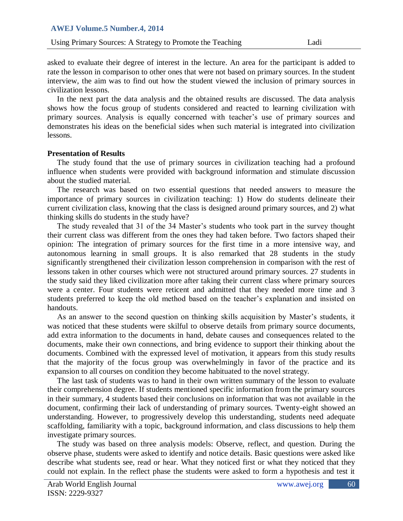Using Primary Sources: A Strategy to Promote the Teaching Ladi

asked to evaluate their degree of interest in the lecture. An area for the participant is added to rate the lesson in comparison to other ones that were not based on primary sources. In the student interview, the aim was to find out how the student viewed the inclusion of primary sources in civilization lessons.

 In the next part the data analysis and the obtained results are discussed. The data analysis shows how the focus group of students considered and reacted to learning civilization with primary sources. Analysis is equally concerned with teacher's use of primary sources and demonstrates his ideas on the beneficial sides when such material is integrated into civilization lessons.

### **Presentation of Results**

 The study found that the use of primary sources in civilization teaching had a profound influence when students were provided with background information and stimulate discussion about the studied material.

 The research was based on two essential questions that needed answers to measure the importance of primary sources in civilization teaching: 1) How do students delineate their current civilization class, knowing that the class is designed around primary sources, and 2) what thinking skills do students in the study have?

 The study revealed that 31 of the 34 Master's students who took part in the survey thought their current class was different from the ones they had taken before. Two factors shaped their opinion: The integration of primary sources for the first time in a more intensive way, and autonomous learning in small groups. It is also remarked that 28 students in the study significantly strengthened their civilization lesson comprehension in comparison with the rest of lessons taken in other courses which were not structured around primary sources. 27 students in the study said they liked civilization more after taking their current class where primary sources were a center. Four students were reticent and admitted that they needed more time and 3 students preferred to keep the old method based on the teacher's explanation and insisted on handouts.

 As an answer to the second question on thinking skills acquisition by Master's students, it was noticed that these students were skilful to observe details from primary source documents, add extra information to the documents in hand, debate causes and consequences related to the documents, make their own connections, and bring evidence to support their thinking about the documents. Combined with the expressed level of motivation, it appears from this study results that the majority of the focus group was overwhelmingly in favor of the practice and its expansion to all courses on condition they become habituated to the novel strategy.

 The last task of students was to hand in their own written summary of the lesson to evaluate their comprehension degree. If students mentioned specific information from the primary sources in their summary, 4 students based their conclusions on information that was not available in the document, confirming their lack of understanding of primary sources. Twenty-eight showed an understanding. However, to progressively develop this understanding, students need adequate scaffolding, familiarity with a topic, background information, and class discussions to help them investigate primary sources.

 The study was based on three analysis models: Observe, reflect, and question. During the observe phase, students were asked to identify and notice details. Basic questions were asked like describe what students see, read or hear. What they noticed first or what they noticed that they could not explain. In the reflect phase the students were asked to form a hypothesis and test it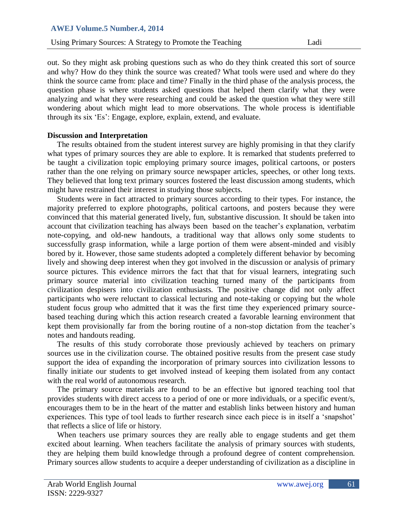Using Primary Sources: A Strategy to Promote the Teaching Ladi

out. So they might ask probing questions such as who do they think created this sort of source and why? How do they think the source was created? What tools were used and where do they think the source came from: place and time? Finally in the third phase of the analysis process, the question phase is where students asked questions that helped them clarify what they were analyzing and what they were researching and could be asked the question what they were still wondering about which might lead to more observations. The whole process is identifiable through its six ‗Es': Engage, explore, explain, extend, and evaluate.

### **Discussion and Interpretation**

 The results obtained from the student interest survey are highly promising in that they clarify what types of primary sources they are able to explore. It is remarked that students preferred to be taught a civilization topic employing primary source images, political cartoons, or posters rather than the one relying on primary source newspaper articles, speeches, or other long texts. They believed that long text primary sources fostered the least discussion among students, which might have restrained their interest in studying those subjects.

 Students were in fact attracted to primary sources according to their types. For instance, the majority preferred to explore photographs, political cartoons, and posters because they were convinced that this material generated lively, fun, substantive discussion. It should be taken into account that civilization teaching has always been based on the teacher's explanation, verbatim note-copying, and old-new handouts, a traditional way that allows only some students to successfully grasp information, while a large portion of them were absent-minded and visibly bored by it. However, those same students adopted a completely different behavior by becoming lively and showing deep interest when they got involved in the discussion or analysis of primary source pictures. This evidence mirrors the fact that that for visual learners, integrating such primary source material into civilization teaching turned many of the participants from civilization despisers into civilization enthusiasts. The positive change did not only affect participants who were reluctant to classical lecturing and note-taking or copying but the whole student focus group who admitted that it was the first time they experienced primary sourcebased teaching during which this action research created a favorable learning environment that kept them provisionally far from the boring routine of a non-stop dictation from the teacher's notes and handouts reading.

 The results of this study corroborate those previously achieved by teachers on primary sources use in the civilization course. The obtained positive results from the present case study support the idea of expanding the incorporation of primary sources into civilization lessons to finally initiate our students to get involved instead of keeping them isolated from any contact with the real world of autonomous research.

 The primary source materials are found to be an effective but ignored teaching tool that provides students with direct access to a period of one or more individuals, or a specific event/s, encourages them to be in the heart of the matter and establish links between history and human experiences. This type of tool leads to further research since each piece is in itself a 'snapshot' that reflects a slice of life or history.

When teachers use primary sources they are really able to engage students and get them excited about learning. When teachers facilitate the analysis of primary sources with students, they are helping them build knowledge through a profound degree of content comprehension. Primary sources allow students to acquire a deeper understanding of civilization as a discipline in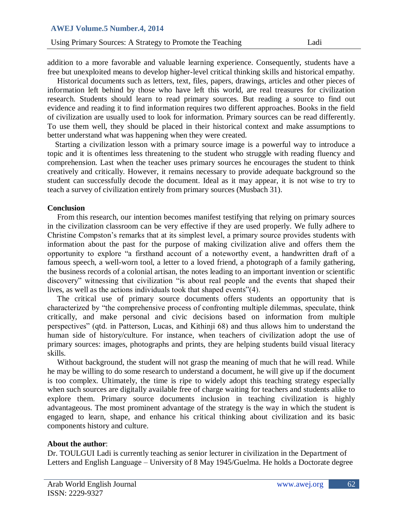addition to a more favorable and valuable learning experience. Consequently, students have a free but unexploited means to develop higher-level critical thinking skills and historical empathy.

 Historical documents such as letters, text, files, papers, drawings, articles and other pieces of information left behind by those who have left this world, are real treasures for civilization research. Students should learn to read primary sources. But reading a source to find out evidence and reading it to find information requires two different approaches. Books in the field of civilization are usually used to look for information. Primary sources can be read differently. To use them well, they should be placed in their historical context and make assumptions to better understand what was happening when they were created.

 Starting a civilization lesson with a primary source image is a powerful way to introduce a topic and it is oftentimes less threatening to the student who struggle with reading fluency and comprehension. Last when the teacher uses primary sources he encourages the student to think creatively and critically. However, it remains necessary to provide adequate background so the student can successfully decode the document. Ideal as it may appear, it is not wise to try to teach a survey of civilization entirely from primary sources (Musbach 31).

### **Conclusion**

 From this research, our intention becomes manifest testifying that relying on primary sources in the civilization classroom can be very effective if they are used properly. We fully adhere to Christine Compston's remarks that at its simplest level, a primary source provides students with information about the past for the purpose of making civilization alive and offers them the opportunity to explore "a firsthand account of a noteworthy event, a handwritten draft of a famous speech, a well-worn tool, a letter to a loved friend, a photograph of a family gathering, the business records of a colonial artisan, the notes leading to an important invention or scientific discovery" witnessing that civilization "is about real people and the events that shaped their lives, as well as the actions individuals took that shaped events"(4).

 The critical use of primary source documents offers students an opportunity that is characterized by "the comprehensive process of confronting multiple dilemmas, speculate, think critically, and make personal and civic decisions based on information from multiple perspectives" (qtd. in Patterson, Lucas, and Kithinji 68) and thus allows him to understand the human side of history/culture. For instance, when teachers of civilization adopt the use of primary sources: images, photographs and prints, they are helping students build visual literacy skills.

 Without background, the student will not grasp the meaning of much that he will read. While he may be willing to do some research to understand a document, he will give up if the document is too complex. Ultimately, the time is ripe to widely adopt this teaching strategy especially when such sources are digitally available free of charge waiting for teachers and students alike to explore them. Primary source documents inclusion in teaching civilization is highly advantageous. The most prominent advantage of the strategy is the way in which the student is engaged to learn, shape, and enhance his critical thinking about civilization and its basic components history and culture.

### **About the author**:

Dr. TOULGUI Ladi is currently teaching as senior lecturer in civilization in the Department of Letters and English Language – University of 8 May 1945/Guelma. He holds a Doctorate degree